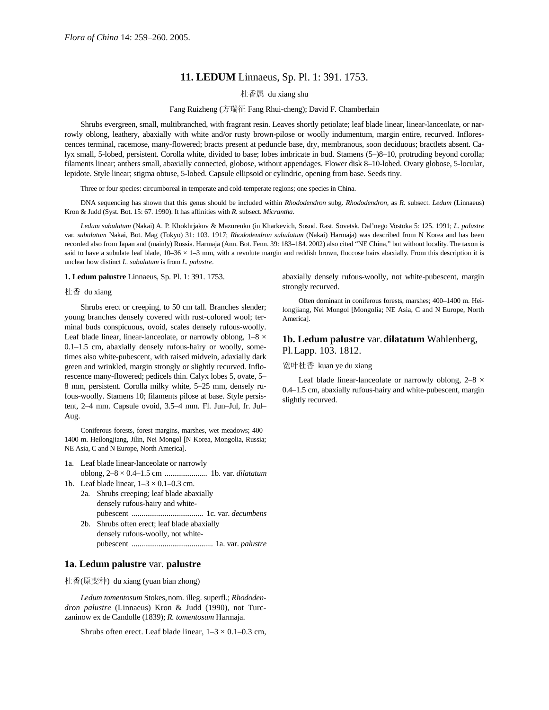# **11. LEDUM** Linnaeus, Sp. Pl. 1: 391. 1753.

# 杜香属 du xiang shu

### Fang Ruizheng (方瑞征 Fang Rhui-cheng); David F. Chamberlain

Shrubs evergreen, small, multibranched, with fragrant resin. Leaves shortly petiolate; leaf blade linear, linear-lanceolate, or narrowly oblong, leathery, abaxially with white and/or rusty brown-pilose or woolly indumentum, margin entire, recurved. Inflorescences terminal, racemose, many-flowered; bracts present at peduncle base, dry, membranous, soon deciduous; bractlets absent. Calyx small, 5-lobed, persistent. Corolla white, divided to base; lobes imbricate in bud. Stamens (5–)8–10, protruding beyond corolla; filaments linear; anthers small, abaxially connected, globose, without appendages. Flower disk 8–10-lobed. Ovary globose, 5-locular, lepidote. Style linear; stigma obtuse, 5-lobed. Capsule ellipsoid or cylindric, opening from base. Seeds tiny.

Three or four species: circumboreal in temperate and cold-temperate regions; one species in China.

DNA sequencing has shown that this genus should be included within *Rhododendron* subg. *Rhododendron,* as *R.* subsect. *Ledum* (Linnaeus) Kron & Judd (Syst. Bot. 15: 67. 1990). It has affinities with *R.* subsect. *Micrantha*.

*Ledum subulatum* (Nakai) A. P. Khokhrjakov & Mazurenko (in Kharkevich, Sosud. Rast. Sovetsk. Dal'nego Vostoka 5: 125. 1991; *L. palustre* var. *subulatum* Nakai, Bot. Mag (Tokyo) 31: 103. 1917; *Rhododendron subulatum* (Nakai) Harmaja) was described from N Korea and has been recorded also from Japan and (mainly) Russia. Harmaja (Ann. Bot. Fenn. 39: 183–184. 2002) also cited "NE China," but without locality. The taxon is said to have a subulate leaf blade,  $10-36 \times 1-3$  mm, with a revolute margin and reddish brown, floccose hairs abaxially. From this description it is unclear how distinct *L. subulatum* is from *L. palustre*.

### **1. Ledum palustre** Linnaeus, Sp. Pl. 1: 391. 1753.

### 杜香 du xiang

Shrubs erect or creeping, to 50 cm tall. Branches slender; young branches densely covered with rust-colored wool; terminal buds conspicuous, ovoid, scales densely rufous-woolly. Leaf blade linear, linear-lanceolate, or narrowly oblong,  $1-8 \times$ 0.1–1.5 cm, abaxially densely rufous-hairy or woolly, sometimes also white-pubescent, with raised midvein, adaxially dark green and wrinkled, margin strongly or slightly recurved. Inflorescence many-flowered; pedicels thin. Calyx lobes 5, ovate, 5– 8 mm, persistent. Corolla milky white, 5–25 mm, densely rufous-woolly. Stamens 10; filaments pilose at base. Style persistent, 2–4 mm. Capsule ovoid, 3.5–4 mm. Fl. Jun–Jul, fr. Jul– Aug.

Coniferous forests, forest margins, marshes, wet meadows; 400– 1400 m. Heilongjiang, Jilin, Nei Mongol [N Korea, Mongolia, Russia; NE Asia, C and N Europe, North America].

- 1a. Leaf blade linear-lanceolate or narrowly oblong, 2–8 × 0.4–1.5 cm ...................... 1b. var. *dilatatum*
- 1b. Leaf blade linear,  $1-3 \times 0.1-0.3$  cm.
	- 2a. Shrubs creeping; leaf blade abaxially densely rufous-hairy and whitepubescent ..................................... 1c. var. *decumbens*
	- 2b. Shrubs often erect; leaf blade abaxially densely rufous-woolly, not whitepubescent .......................................... 1a. var. *palustre*

## **1a. Ledum palustre** var. **palustre**

杜香(原变种) du xiang (yuan bian zhong)

*Ledum tomentosum* Stokes,nom. illeg. superfl.; *Rhododendron palustre* (Linnaeus) Kron & Judd (1990), not Turczaninow ex de Candolle (1839); *R. tomentosum* Harmaja.

Shrubs often erect. Leaf blade linear,  $1-3 \times 0.1-0.3$  cm,

abaxially densely rufous-woolly, not white-pubescent, margin strongly recurved.

Often dominant in coniferous forests, marshes; 400–1400 m. Heilongjiang, Nei Mongol [Mongolia; NE Asia, C and N Europe, North America].

## **1b. Ledum palustre** var.**dilatatum** Wahlenberg, Pl.Lapp. 103. 1812.

### 宽叶杜香 kuan ye du xiang

Leaf blade linear-lanceolate or narrowly oblong,  $2-8 \times$ 0.4–1.5 cm, abaxially rufous-hairy and white-pubescent, margin slightly recurved.